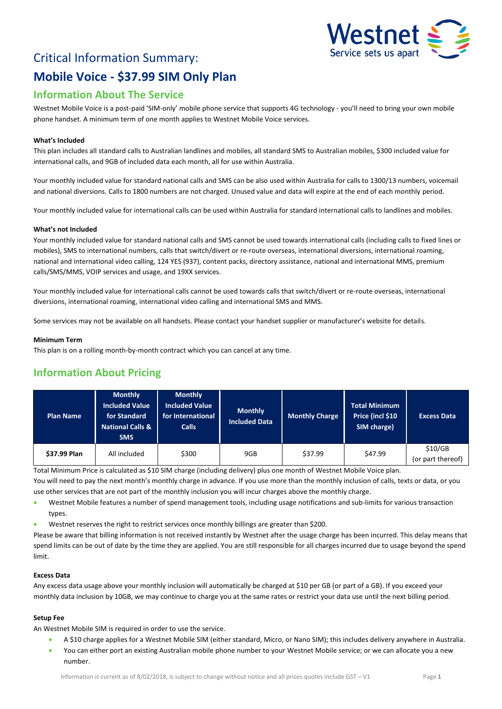# Critical Information Summary: **Mobile Voice - \$37.99 SIM Only Plan**



## **Information About The Service**

Westnet Mobile Voice is a post-paid 'SIM-only' mobile phone service that supports 4G technology - you'll need to bring your own mobile phone handset. A minimum term of one month applies to Westnet Mobile Voice services.

#### **What's Included**

This plan includes all standard calls to Australian landlines and mobiles, all standard SMS to Australian mobiles, \$300 included value for international calls, and 9GB of included data each month, all for use within Australia.

Your monthly included value for standard national calls and SMS can be also used within Australia for calls to 1300/13 numbers, voicemail and national diversions. Calls to 1800 numbers are not charged. Unused value and data will expire at the end of each monthly period.

Your monthly included value for international calls can be used within Australia for standard international calls to landlines and mobiles.

#### **What's not Included**

Your monthly included value for standard national calls and SMS cannot be used towards international calls (including calls to fixed lines or mobiles), SMS to international numbers, calls that switch/divert or re-route overseas, international diversions, international roaming, national and international video calling, 124 YES (937), content packs, directory assistance, national and international MMS, premium calls/SMS/MMS, VOIP services and usage, and 19XX services.

Your monthly included value for international calls cannot be used towards calls that switch/divert or re-route overseas, international diversions, international roaming, international video calling and international SMS and MMS.

Some services may not be available on all handsets. Please contact your handset supplier or manufacturer's website for details.

#### **Minimum Term**

This plan is on a rolling month-by-month contract which you can cancel at any time.

### **Information About Pricing**

| <b>Plan Name</b> | <b>Monthly</b><br><b>Included Value</b><br>for Standard<br><b>National Calls &amp;</b><br><b>SMS</b> | <b>Monthly</b><br><b>Included Value</b><br>for International<br><b>Calls</b> | <b>Monthly</b><br><b>Included Data</b> | <b>Monthly Charge</b> | <b>Total Minimum</b><br>Price (incl \$10<br>SIM charge) | <b>Excess Data</b>           |
|------------------|------------------------------------------------------------------------------------------------------|------------------------------------------------------------------------------|----------------------------------------|-----------------------|---------------------------------------------------------|------------------------------|
| \$37.99 Plan     | All included                                                                                         | \$300                                                                        | 9GB                                    | \$37.99               | \$47.99                                                 | \$10/GB<br>(or part thereof) |

Total Minimum Price is calculated as \$10 SIM charge (including delivery) plus one month of Westnet Mobile Voice plan.

You will need to pay the next month's monthly charge in advance. If you use more than the monthly inclusion of calls, texts or data, or you use other services that are not part of the monthly inclusion you will incur charges above the monthly charge.

- Westnet Mobile features a number of spend management tools, including usage notifications and sub-limits for various transaction types.
- Westnet reserves the right to restrict services once monthly billings are greater than \$200.

Please be aware that billing information is not received instantly by Westnet after the usage charge has been incurred. This delay means that spend limits can be out of date by the time they are applied. You are still responsible for all charges incurred due to usage beyond the spend limit.

#### **Excess Data**

Any excess data usage above your monthly inclusion will automatically be charged at \$10 per GB (or part of a GB). If you exceed your monthly data inclusion by 10GB, we may continue to charge you at the same rates or restrict your data use until the next billing period.

#### **Setup Fee**

An Westnet Mobile SIM is required in order to use the service.

- A \$10 charge applies for a Westnet Mobile SIM (either standard, Micro, or Nano SIM); this includes delivery anywhere in Australia.
- You can either port an existing Australian mobile phone number to your Westnet Mobile service; or we can allocate you a new number.